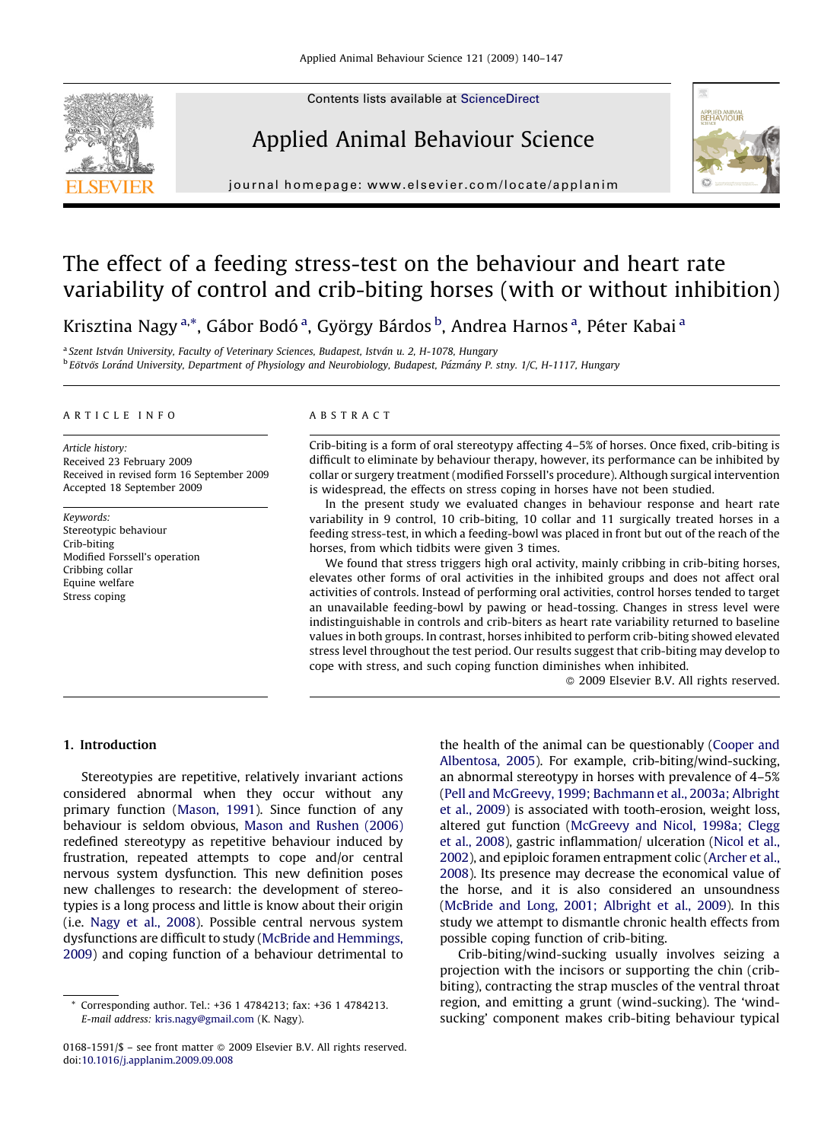Contents lists available at [ScienceDirect](http://www.sciencedirect.com/science/journal/01681591)

## Applied Animal Behaviour Science



journal homepage: www.elsevier.com/locate/applanim

# The effect of a feeding stress-test on the behaviour and heart rate variability of control and crib-biting horses (with or without inhibition)

Krisztina Nagy<sup>a,</sup>\*, Gábor Bodó<sup>a</sup>, György Bárdos <sup>b</sup>, Andrea Harnos <sup>a</sup>, Péter Kabai <sup>a</sup>

<sup>a</sup> Szent István University, Faculty of Veterinary Sciences, Budapest, István u. 2, H-1078, Hungary <sup>b</sup> Eötvös Loránd University, Department of Physiology and Neurobiology, Budapest, Pázmány P. stny. 1/C, H-1117, Hungary

## ARTICLE INFO

Article history: Received 23 February 2009 Received in revised form 16 September 2009 Accepted 18 September 2009

Keywords: Stereotypic behaviour Crib-biting Modified Forssell's operation Cribbing collar Equine welfare Stress coping

## ABSTRACT

Crib-biting is a form of oral stereotypy affecting 4–5% of horses. Once fixed, crib-biting is difficult to eliminate by behaviour therapy, however, its performance can be inhibited by collar or surgery treatment (modified Forssell's procedure). Although surgical intervention is widespread, the effects on stress coping in horses have not been studied.

In the present study we evaluated changes in behaviour response and heart rate variability in 9 control, 10 crib-biting, 10 collar and 11 surgically treated horses in a feeding stress-test, in which a feeding-bowl was placed in front but out of the reach of the horses, from which tidbits were given 3 times.

We found that stress triggers high oral activity, mainly cribbing in crib-biting horses, elevates other forms of oral activities in the inhibited groups and does not affect oral activities of controls. Instead of performing oral activities, control horses tended to target an unavailable feeding-bowl by pawing or head-tossing. Changes in stress level were indistinguishable in controls and crib-biters as heart rate variability returned to baseline values in both groups. In contrast, horses inhibited to perform crib-biting showed elevated stress level throughout the test period. Our results suggest that crib-biting may develop to cope with stress, and such coping function diminishes when inhibited.

 $\odot$  2009 Elsevier B.V. All rights reserved.

## 1. Introduction

Stereotypies are repetitive, relatively invariant actions considered abnormal when they occur without any primary function [\(Mason, 1991](#page-7-0)). Since function of any behaviour is seldom obvious, [Mason and Rushen \(2006\)](#page-7-0) redefined stereotypy as repetitive behaviour induced by frustration, repeated attempts to cope and/or central nervous system dysfunction. This new definition poses new challenges to research: the development of stereotypies is a long process and little is know about their origin (i.e. [Nagy et al., 2008](#page-7-0)). Possible central nervous system dysfunctions are difficult to study ([McBride and Hemmings,](#page-7-0) [2009](#page-7-0)) and coping function of a behaviour detrimental to

the health of the animal can be questionably [\(Cooper and](#page-6-0) [Albentosa, 2005](#page-6-0)). For example, crib-biting/wind-sucking, an abnormal stereotypy in horses with prevalence of 4–5% [\(Pell and McGreevy, 1999; Bachmann et al., 2003a; Albright](#page-7-0) [et al., 2009\)](#page-7-0) is associated with tooth-erosion, weight loss, altered gut function [\(McGreevy and Nicol, 1998a; Clegg](#page-7-0) [et al., 2008](#page-7-0)), gastric inflammation/ ulceration ([Nicol et al.,](#page-7-0) [2002](#page-7-0)), and epiploic foramen entrapment colic [\(Archer et al.,](#page-6-0) [2008](#page-6-0)). Its presence may decrease the economical value of the horse, and it is also considered an unsoundness [\(McBride and Long, 2001; Albright et al., 2009\)](#page-7-0). In this study we attempt to dismantle chronic health effects from possible coping function of crib-biting.

Crib-biting/wind-sucking usually involves seizing a projection with the incisors or supporting the chin (cribbiting), contracting the strap muscles of the ventral throat region, and emitting a grunt (wind-sucking). The 'windsucking' component makes crib-biting behaviour typical

Corresponding author. Tel.: +36 1 4784213; fax: +36 1 4784213. E-mail address: [kris.nagy@gmail.com](mailto:kris.nagy@gmail.com) (K. Nagy).

<sup>0168-1591/\$ –</sup> see front matter © 2009 Elsevier B.V. All rights reserved. doi[:10.1016/j.applanim.2009.09.008](http://dx.doi.org/10.1016/j.applanim.2009.09.008)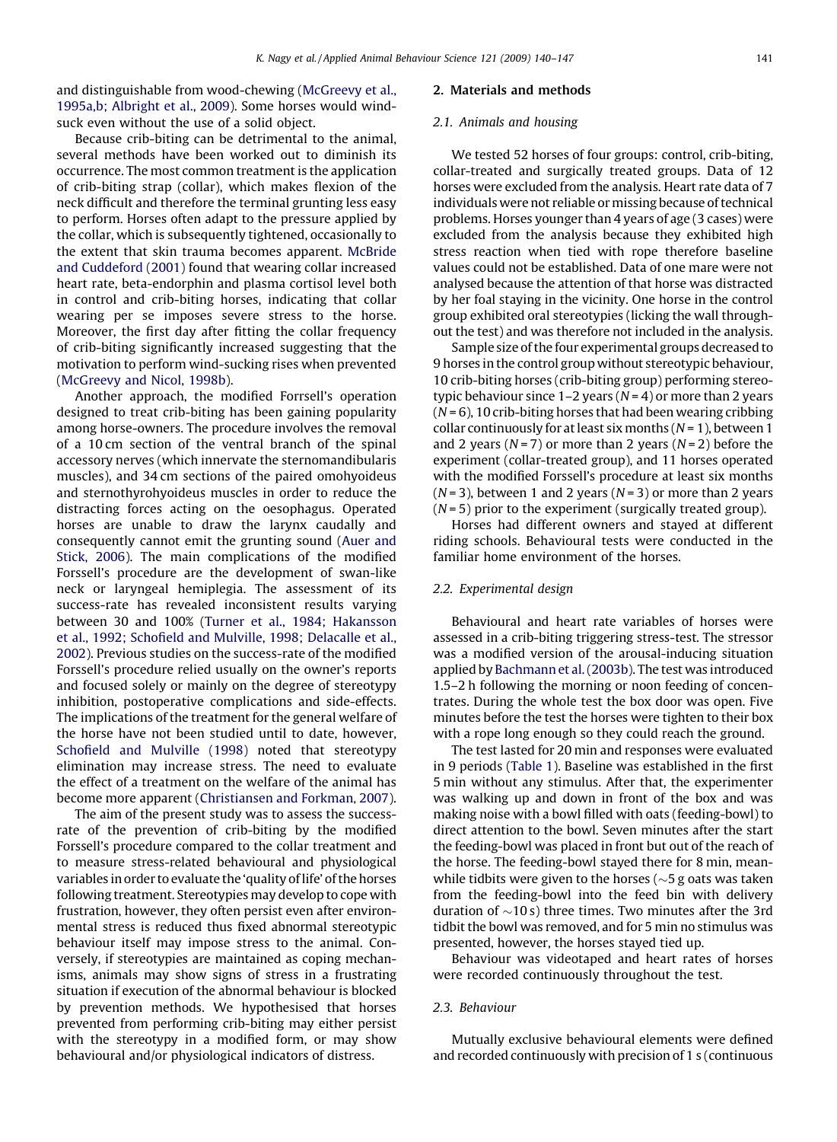and distinguishable from wood-chewing ([McGreevy et al.,](#page-7-0) [1995a,b; Albright et al., 2009](#page-7-0)). Some horses would windsuck even without the use of a solid object.

Because crib-biting can be detrimental to the animal, several methods have been worked out to diminish its occurrence. The most common treatment is the application of crib-biting strap (collar), which makes flexion of the neck difficult and therefore the terminal grunting less easy to perform. Horses often adapt to the pressure applied by the collar, which is subsequently tightened, occasionally to the extent that skin trauma becomes apparent. [McBride](#page-7-0) [and Cuddeford \(2001\)](#page-7-0) found that wearing collar increased heart rate, beta-endorphin and plasma cortisol level both in control and crib-biting horses, indicating that collar wearing per se imposes severe stress to the horse. Moreover, the first day after fitting the collar frequency of crib-biting significantly increased suggesting that the motivation to perform wind-sucking rises when prevented ([McGreevy and Nicol, 1998b\)](#page-7-0).

Another approach, the modified Forrsell's operation designed to treat crib-biting has been gaining popularity among horse-owners. The procedure involves the removal of a 10 cm section of the ventral branch of the spinal accessory nerves (which innervate the sternomandibularis muscles), and 34 cm sections of the paired omohyoideus and sternothyrohyoideus muscles in order to reduce the distracting forces acting on the oesophagus. Operated horses are unable to draw the larynx caudally and consequently cannot emit the grunting sound [\(Auer and](#page-6-0) [Stick, 2006](#page-6-0)). The main complications of the modified Forssell's procedure are the development of swan-like neck or laryngeal hemiplegia. The assessment of its success-rate has revealed inconsistent results varying between 30 and 100% [\(Turner et al., 1984; Hakansson](#page-7-0) [et al., 1992; Schofield and Mulville, 1998; Delacalle et al.,](#page-7-0) [2002](#page-7-0)). Previous studies on the success-rate of the modified Forssell's procedure relied usually on the owner's reports and focused solely or mainly on the degree of stereotypy inhibition, postoperative complications and side-effects. The implications of the treatment for the general welfare of the horse have not been studied until to date, however, [Schofield and Mulville \(1998\)](#page-7-0) noted that stereotypy elimination may increase stress. The need to evaluate the effect of a treatment on the welfare of the animal has become more apparent [\(Christiansen and Forkman, 2007](#page-6-0)).

The aim of the present study was to assess the successrate of the prevention of crib-biting by the modified Forssell's procedure compared to the collar treatment and to measure stress-related behavioural and physiological variables in order to evaluate the 'quality of life' of the horses following treatment. Stereotypies may develop to cope with frustration, however, they often persist even after environmental stress is reduced thus fixed abnormal stereotypic behaviour itself may impose stress to the animal. Conversely, if stereotypies are maintained as coping mechanisms, animals may show signs of stress in a frustrating situation if execution of the abnormal behaviour is blocked by prevention methods. We hypothesised that horses prevented from performing crib-biting may either persist with the stereotypy in a modified form, or may show behavioural and/or physiological indicators of distress.

#### 2. Materials and methods

## 2.1. Animals and housing

We tested 52 horses of four groups: control, crib-biting, collar-treated and surgically treated groups. Data of 12 horses were excluded from the analysis. Heart rate data of 7 individuals were not reliable or missing because of technical problems. Horses younger than 4 years of age (3 cases) were excluded from the analysis because they exhibited high stress reaction when tied with rope therefore baseline values could not be established. Data of one mare were not analysed because the attention of that horse was distracted by her foal staying in the vicinity. One horse in the control group exhibited oral stereotypies (licking the wall throughout the test) and was therefore not included in the analysis.

Sample size of the four experimental groups decreased to 9 horses in the control group without stereotypic behaviour, 10 crib-biting horses (crib-biting group) performing stereotypic behaviour since  $1-2$  years  $(N = 4)$  or more than 2 years  $(N = 6)$ , 10 crib-biting horses that had been wearing cribbing collar continuously for at least six months  $(N = 1)$ , between 1 and 2 years ( $N = 7$ ) or more than 2 years ( $N = 2$ ) before the experiment (collar-treated group), and 11 horses operated with the modified Forssell's procedure at least six months  $(N=3)$ , between 1 and 2 years  $(N=3)$  or more than 2 years  $(N=5)$  prior to the experiment (surgically treated group).

Horses had different owners and stayed at different riding schools. Behavioural tests were conducted in the familiar home environment of the horses.

#### 2.2. Experimental design

Behavioural and heart rate variables of horses were assessed in a crib-biting triggering stress-test. The stressor was a modified version of the arousal-inducing situation applied by [Bachmann et al. \(2003b\).](#page-6-0) The test was introduced 1.5–2 h following the morning or noon feeding of concentrates. During the whole test the box door was open. Five minutes before the test the horses were tighten to their box with a rope long enough so they could reach the ground.

The test lasted for 20 min and responses were evaluated in 9 periods ([Table 1](#page-2-0)). Baseline was established in the first 5 min without any stimulus. After that, the experimenter was walking up and down in front of the box and was making noise with a bowl filled with oats (feeding-bowl) to direct attention to the bowl. Seven minutes after the start the feeding-bowl was placed in front but out of the reach of the horse. The feeding-bowl stayed there for 8 min, meanwhile tidbits were given to the horses ( $\sim$ 5 g oats was taken from the feeding-bowl into the feed bin with delivery duration of  $\sim$ 10s) three times. Two minutes after the 3rd tidbit the bowl was removed, and for 5 min no stimulus was presented, however, the horses stayed tied up.

Behaviour was videotaped and heart rates of horses were recorded continuously throughout the test.

## 2.3. Behaviour

Mutually exclusive behavioural elements were defined and recorded continuously with precision of 1 s (continuous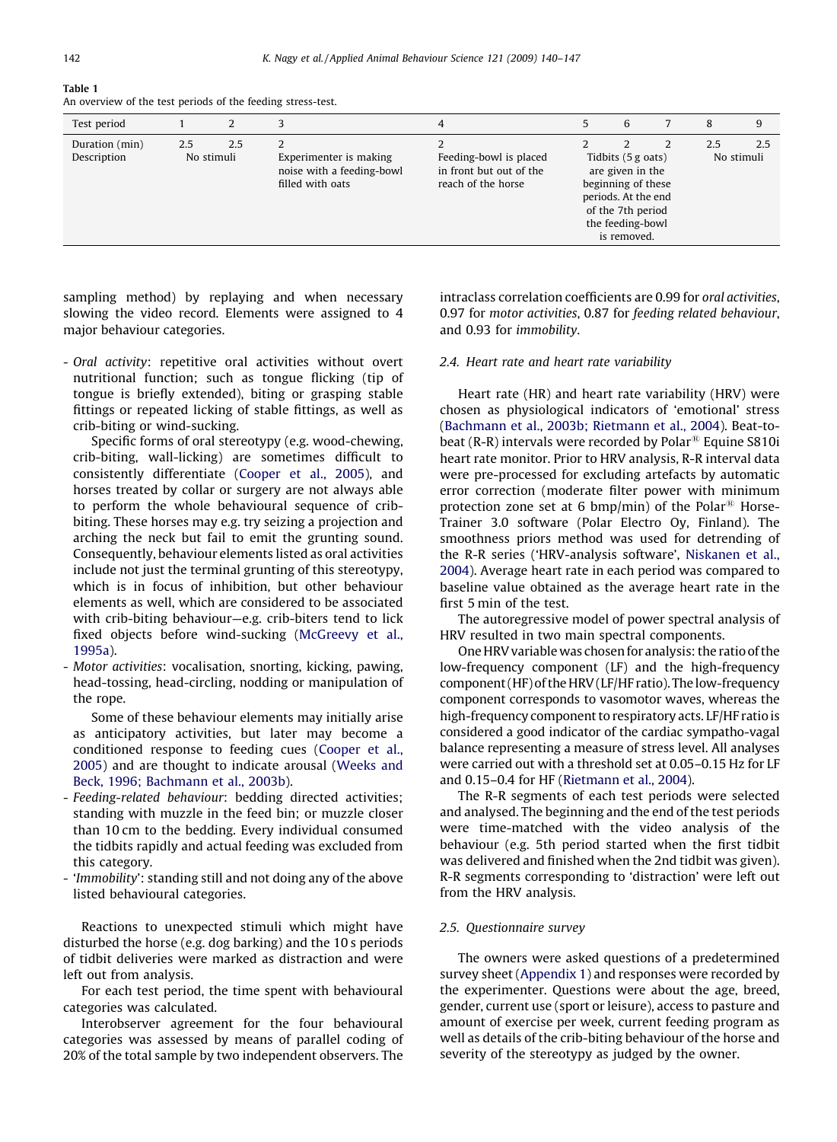## <span id="page-2-0"></span>Table 1

An overview of the test periods of the feeding stress-test.

| Test period                   |     |                   |                                                                         | 4                                                                       | 6                                                                                                                                           | 8   | 9                 |
|-------------------------------|-----|-------------------|-------------------------------------------------------------------------|-------------------------------------------------------------------------|---------------------------------------------------------------------------------------------------------------------------------------------|-----|-------------------|
| Duration (min)<br>Description | 2.5 | 2.5<br>No stimuli | Experimenter is making<br>noise with a feeding-bowl<br>filled with oats | Feeding-bowl is placed<br>in front but out of the<br>reach of the horse | Tidbits (5 g oats)<br>are given in the<br>beginning of these<br>periods. At the end<br>of the 7th period<br>the feeding-bowl<br>is removed. | 2.5 | 2.5<br>No stimuli |

sampling method) by replaying and when necessary slowing the video record. Elements were assigned to 4 major behaviour categories.

- Oral activity: repetitive oral activities without overt nutritional function; such as tongue flicking (tip of tongue is briefly extended), biting or grasping stable fittings or repeated licking of stable fittings, as well as crib-biting or wind-sucking.

Specific forms of oral stereotypy (e.g. wood-chewing, crib-biting, wall-licking) are sometimes difficult to consistently differentiate ([Cooper et al., 2005](#page-6-0)), and horses treated by collar or surgery are not always able to perform the whole behavioural sequence of cribbiting. These horses may e.g. try seizing a projection and arching the neck but fail to emit the grunting sound. Consequently, behaviour elements listed as oral activities include not just the terminal grunting of this stereotypy, which is in focus of inhibition, but other behaviour elements as well, which are considered to be associated with crib-biting behaviour—e.g. crib-biters tend to lick fixed objects before wind-sucking ([McGreevy et al.,](#page-7-0) [1995a](#page-7-0)).

- Motor activities: vocalisation, snorting, kicking, pawing, head-tossing, head-circling, nodding or manipulation of the rope.

Some of these behaviour elements may initially arise as anticipatory activities, but later may become a conditioned response to feeding cues ([Cooper et al.,](#page-6-0) [2005\)](#page-6-0) and are thought to indicate arousal [\(Weeks and](#page-7-0) [Beck, 1996; Bachmann et al., 2003b\)](#page-7-0).

- Feeding-related behaviour: bedding directed activities; standing with muzzle in the feed bin; or muzzle closer than 10 cm to the bedding. Every individual consumed the tidbits rapidly and actual feeding was excluded from this category.
- 'Immobility': standing still and not doing any of the above listed behavioural categories.

Reactions to unexpected stimuli which might have disturbed the horse (e.g. dog barking) and the 10 s periods of tidbit deliveries were marked as distraction and were left out from analysis.

For each test period, the time spent with behavioural categories was calculated.

Interobserver agreement for the four behavioural categories was assessed by means of parallel coding of 20% of the total sample by two independent observers. The intraclass correlation coefficients are 0.99 for oral activities, 0.97 for motor activities, 0.87 for feeding related behaviour, and 0.93 for immobility.

## 2.4. Heart rate and heart rate variability

Heart rate (HR) and heart rate variability (HRV) were chosen as physiological indicators of 'emotional' stress [\(Bachmann et al., 2003b; Rietmann et al., 2004](#page-6-0)). Beat-tobeat (R-R) intervals were recorded by Polar<sup>®</sup> Equine S810i heart rate monitor. Prior to HRV analysis, R-R interval data were pre-processed for excluding artefacts by automatic error correction (moderate filter power with minimum protection zone set at 6 bmp/min) of the Polar<sup>®</sup> Horse-Trainer 3.0 software (Polar Electro Oy, Finland). The smoothness priors method was used for detrending of the R-R series ('HRV-analysis software', [Niskanen et al.,](#page-7-0) [2004](#page-7-0)). Average heart rate in each period was compared to baseline value obtained as the average heart rate in the first 5 min of the test.

The autoregressive model of power spectral analysis of HRV resulted in two main spectral components.

One HRV variable was chosen for analysis: the ratio of the low-frequency component (LF) and the high-frequency component (HF) of the HRV (LF/HF ratio). The low-frequency component corresponds to vasomotor waves, whereas the high-frequency component to respiratory acts. LF/HF ratio is considered a good indicator of the cardiac sympatho-vagal balance representing a measure of stress level. All analyses were carried out with a threshold set at 0.05–0.15 Hz for LF and 0.15–0.4 for HF [\(Rietmann et al., 2004](#page-7-0)).

The R-R segments of each test periods were selected and analysed. The beginning and the end of the test periods were time-matched with the video analysis of the behaviour (e.g. 5th period started when the first tidbit was delivered and finished when the 2nd tidbit was given). R-R segments corresponding to 'distraction' were left out from the HRV analysis.

### 2.5. Questionnaire survey

The owners were asked questions of a predetermined survey sheet (Appendix 1) and responses were recorded by the experimenter. Questions were about the age, breed, gender, current use (sport or leisure), access to pasture and amount of exercise per week, current feeding program as well as details of the crib-biting behaviour of the horse and severity of the stereotypy as judged by the owner.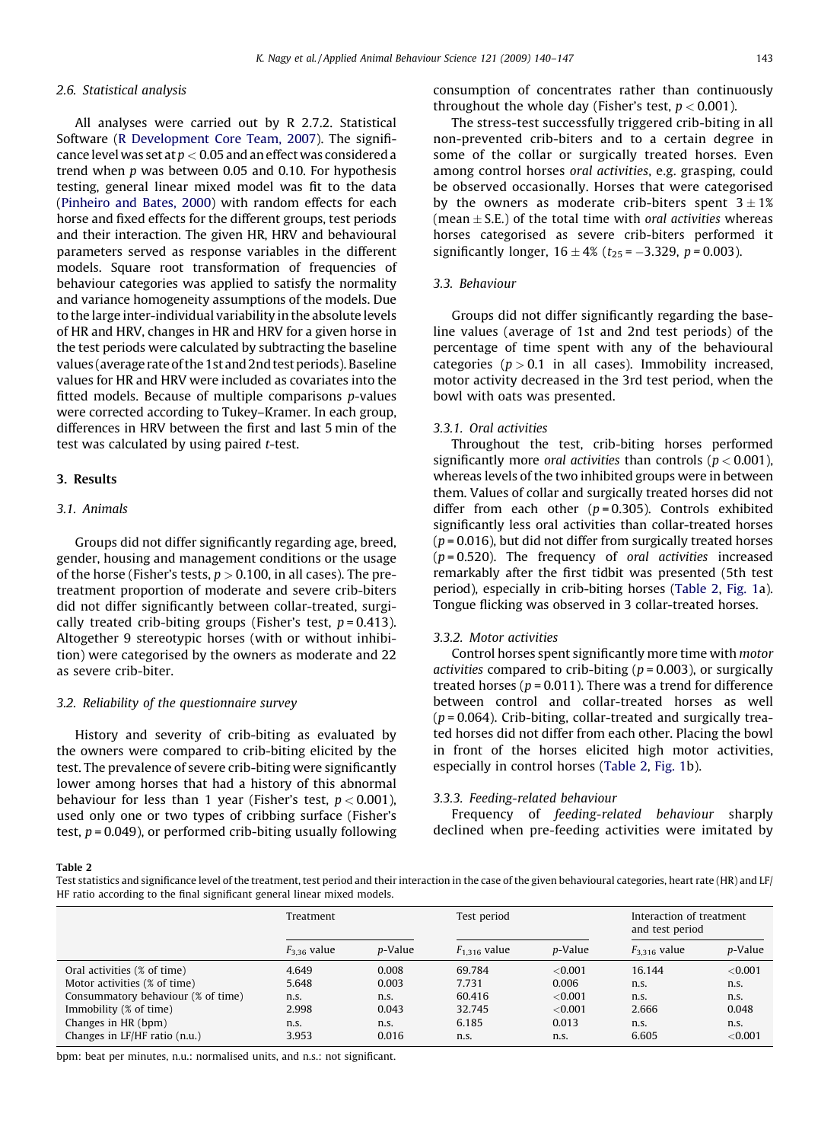### <span id="page-3-0"></span>2.6. Statistical analysis

All analyses were carried out by R 2.7.2. Statistical Software [\(R Development Core Team, 2007\)](#page-7-0). The significance level was set at  $p < 0.05$  and an effect was considered a trend when p was between 0.05 and 0.10. For hypothesis testing, general linear mixed model was fit to the data ([Pinheiro and Bates, 2000](#page-7-0)) with random effects for each horse and fixed effects for the different groups, test periods and their interaction. The given HR, HRV and behavioural parameters served as response variables in the different models. Square root transformation of frequencies of behaviour categories was applied to satisfy the normality and variance homogeneity assumptions of the models. Due to the large inter-individual variability in the absolute levels of HR and HRV, changes in HR and HRV for a given horse in the test periods were calculated by subtracting the baseline values (average rate of the 1st and 2nd test periods). Baseline values for HR and HRV were included as covariates into the fitted models. Because of multiple comparisons p-values were corrected according to Tukey–Kramer. In each group, differences in HRV between the first and last 5 min of the test was calculated by using paired t-test.

## 3. Results

## 3.1. Animals

Groups did not differ significantly regarding age, breed, gender, housing and management conditions or the usage of the horse (Fisher's tests,  $p > 0.100$ , in all cases). The pretreatment proportion of moderate and severe crib-biters did not differ significantly between collar-treated, surgically treated crib-biting groups (Fisher's test,  $p = 0.413$ ). Altogether 9 stereotypic horses (with or without inhibition) were categorised by the owners as moderate and 22 as severe crib-biter.

#### 3.2. Reliability of the questionnaire survey

History and severity of crib-biting as evaluated by the owners were compared to crib-biting elicited by the test. The prevalence of severe crib-biting were significantly lower among horses that had a history of this abnormal behaviour for less than 1 year (Fisher's test,  $p < 0.001$ ), used only one or two types of cribbing surface (Fisher's test,  $p = 0.049$ ), or performed crib-biting usually following consumption of concentrates rather than continuously throughout the whole day (Fisher's test,  $p < 0.001$ ).

The stress-test successfully triggered crib-biting in all non-prevented crib-biters and to a certain degree in some of the collar or surgically treated horses. Even among control horses oral activities, e.g. grasping, could be observed occasionally. Horses that were categorised by the owners as moderate crib-biters spent  $3 \pm 1\%$ (mean  $\pm$  S.E.) of the total time with oral activities whereas horses categorised as severe crib-biters performed it significantly longer,  $16 \pm 4\%$  ( $t_{25} = -3.329$ ,  $p = 0.003$ ).

## 3.3. Behaviour

Groups did not differ significantly regarding the baseline values (average of 1st and 2nd test periods) of the percentage of time spent with any of the behavioural categories ( $p > 0.1$  in all cases). Immobility increased, motor activity decreased in the 3rd test period, when the bowl with oats was presented.

#### 3.3.1. Oral activities

Throughout the test, crib-biting horses performed significantly more *oral activities* than controls ( $p < 0.001$ ), whereas levels of the two inhibited groups were in between them. Values of collar and surgically treated horses did not differ from each other  $(p=0.305)$ . Controls exhibited significantly less oral activities than collar-treated horses  $(p = 0.016)$ , but did not differ from surgically treated horses  $(p = 0.520)$ . The frequency of oral activities increased remarkably after the first tidbit was presented (5th test period), especially in crib-biting horses (Table 2, [Fig. 1a](#page-4-0)). Tongue flicking was observed in 3 collar-treated horses.

#### 3.3.2. Motor activities

Control horses spent significantly more time with motor activities compared to crib-biting ( $p = 0.003$ ), or surgically treated horses ( $p = 0.011$ ). There was a trend for difference between control and collar-treated horses as well  $(p = 0.064)$ . Crib-biting, collar-treated and surgically treated horses did not differ from each other. Placing the bowl in front of the horses elicited high motor activities, especially in control horses (Table 2, [Fig. 1b](#page-4-0)).

### 3.3.3. Feeding-related behaviour

Frequency of feeding-related behaviour sharply declined when pre-feeding activities were imitated by

#### Table 2

Test statistics and significance level of the treatment, test period and their interaction in the case of the given behavioural categories, heart rate (HR) and LF/ HF ratio according to the final significant general linear mixed models.

|                                    | Treatment        |                 | Test period       |                 | Interaction of treatment<br>and test period |         |
|------------------------------------|------------------|-----------------|-------------------|-----------------|---------------------------------------------|---------|
|                                    | $F_{3,36}$ value | <i>p</i> -Value | $F_{1,316}$ value | <i>p</i> -Value | $F_{3,316}$ value                           | p-Value |
| Oral activities (% of time)        | 4.649            | 0.008           | 69.784            | ${<}0.001$      | 16.144                                      | < 0.001 |
| Motor activities (% of time)       | 5.648            | 0.003           | 7.731             | 0.006           | n.s.                                        | n.s.    |
| Consummatory behaviour (% of time) | n.s.             | n.s.            | 60.416            | ${<}0.001$      | n.s.                                        | n.s.    |
| Immobility (% of time)             | 2.998            | 0.043           | 32.745            | ${<}0.001$      | 2.666                                       | 0.048   |
| Changes in HR (bpm)                | n.s.             | n.s.            | 6.185             | 0.013           | n.s.                                        | n.s.    |
| Changes in LF/HF ratio (n.u.)      | 3.953            | 0.016           | n.s.              | n.s.            | 6.605                                       | < 0.001 |

bpm: beat per minutes, n.u.: normalised units, and n.s.: not significant.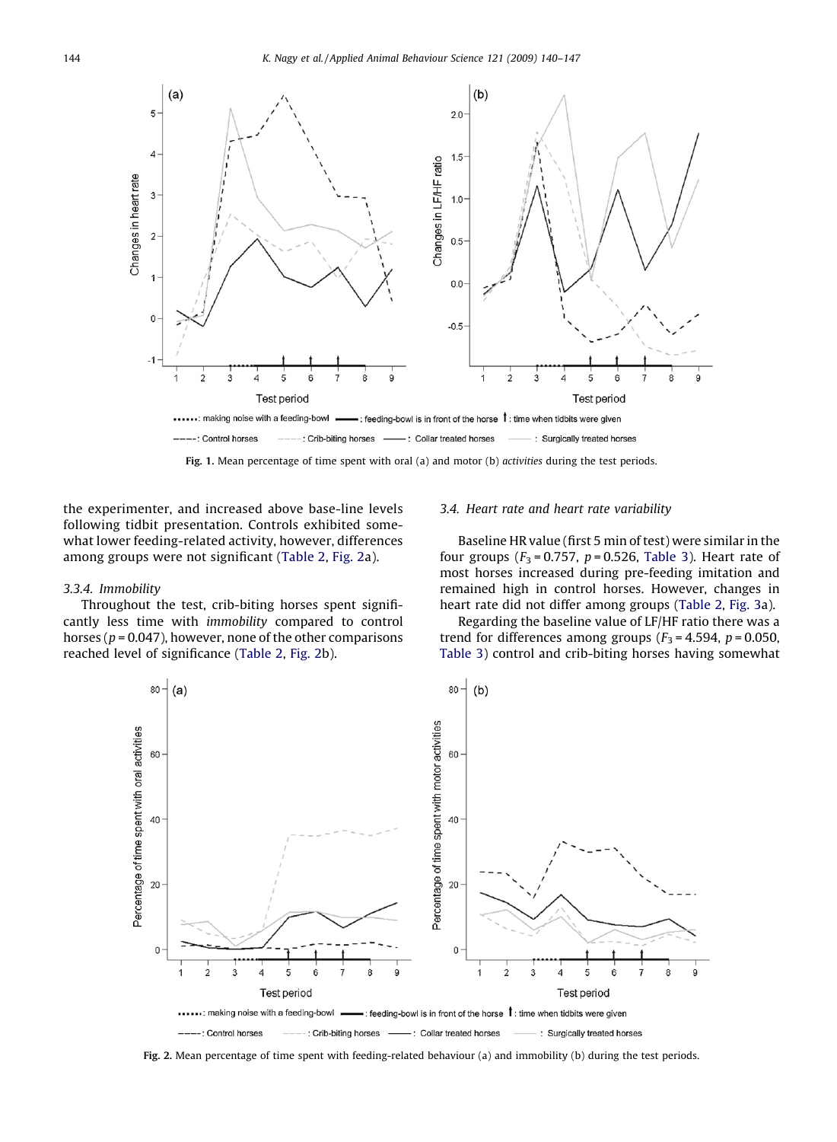<span id="page-4-0"></span>

Fig. 1. Mean percentage of time spent with oral (a) and motor (b) activities during the test periods.

the experimenter, and increased above base-line levels following tidbit presentation. Controls exhibited somewhat lower feeding-related activity, however, differences among groups were not significant [\(Table 2,](#page-3-0) Fig. 2a).

## 3.3.4. Immobility

Throughout the test, crib-biting horses spent significantly less time with immobility compared to control horses ( $p = 0.047$ ), however, none of the other comparisons reached level of significance ([Table 2](#page-3-0), Fig. 2b).

## 3.4. Heart rate and heart rate variability

Baseline HR value (first 5 min of test) were similar in the four groups ( $F_3 = 0.757$ ,  $p = 0.526$ , [Table 3](#page-5-0)). Heart rate of most horses increased during pre-feeding imitation and remained high in control horses. However, changes in heart rate did not differ among groups ([Table 2,](#page-3-0) [Fig. 3](#page-5-0)a).

Regarding the baseline value of LF/HF ratio there was a trend for differences among groups ( $F_3 = 4.594$ ,  $p = 0.050$ , [Table 3\)](#page-5-0) control and crib-biting horses having somewhat



Fig. 2. Mean percentage of time spent with feeding-related behaviour (a) and immobility (b) during the test periods.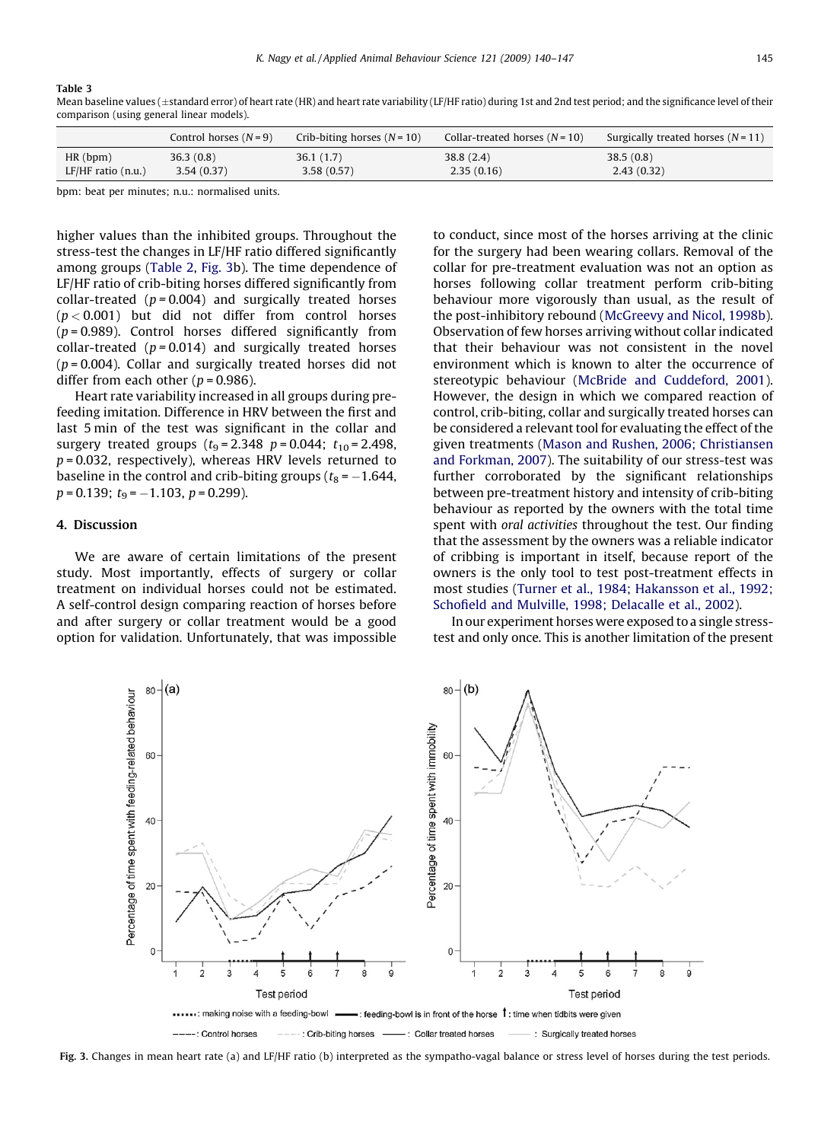## <span id="page-5-0"></span>Table 3

Mean baseline values ( $\pm$ standard error) of heart rate (HR) and heart rate variability (LF/HF ratio) during 1st and 2nd test period; and the significance level of their comparison (using general linear models).

|                        | Control horses $(N=9)$ | Crib-biting horses $(N = 10)$ | Collar-treated horses $(N = 10)$ | Surgically treated horses $(N = 11)$ |
|------------------------|------------------------|-------------------------------|----------------------------------|--------------------------------------|
| HR(bpm)                | 36.3(0.8)              | 36.1(1.7)                     | 38.8(2.4)                        | 38.5(0.8)                            |
| $LF/HF$ ratio $(n.u.)$ | 3.54(0.37)             | 3.58(0.57)                    | 2.35(0.16)                       | 2.43(0.32)                           |

bpm: beat per minutes; n.u.: normalised units.

higher values than the inhibited groups. Throughout the stress-test the changes in LF/HF ratio differed significantly among groups ([Table 2](#page-3-0), Fig. 3b). The time dependence of LF/HF ratio of crib-biting horses differed significantly from collar-treated ( $p = 0.004$ ) and surgically treated horses  $(p < 0.001)$  but did not differ from control horses  $(p = 0.989)$ . Control horses differed significantly from collar-treated ( $p = 0.014$ ) and surgically treated horses  $(p = 0.004)$ . Collar and surgically treated horses did not differ from each other ( $p = 0.986$ ).

Heart rate variability increased in all groups during prefeeding imitation. Difference in HRV between the first and last 5 min of the test was significant in the collar and surgery treated groups  $(t_9 = 2.348 \text{ p} = 0.044; t_{10} = 2.498,$  $p = 0.032$ , respectively), whereas HRV levels returned to baseline in the control and crib-biting groups ( $t_8 = -1.644$ ,  $p = 0.139$ ;  $t<sub>9</sub> = -1.103$ ,  $p = 0.299$ ).

## 4. Discussion

We are aware of certain limitations of the present study. Most importantly, effects of surgery or collar treatment on individual horses could not be estimated. A self-control design comparing reaction of horses before and after surgery or collar treatment would be a good option for validation. Unfortunately, that was impossible

to conduct, since most of the horses arriving at the clinic for the surgery had been wearing collars. Removal of the collar for pre-treatment evaluation was not an option as horses following collar treatment perform crib-biting behaviour more vigorously than usual, as the result of the post-inhibitory rebound [\(McGreevy and Nicol, 1998b](#page-7-0)). Observation of few horses arriving without collar indicated that their behaviour was not consistent in the novel environment which is known to alter the occurrence of stereotypic behaviour [\(McBride and Cuddeford, 2001](#page-7-0)). However, the design in which we compared reaction of control, crib-biting, collar and surgically treated horses can be considered a relevant tool for evaluating the effect of the given treatments [\(Mason and Rushen, 2006; Christiansen](#page-7-0) [and Forkman, 2007\)](#page-7-0). The suitability of our stress-test was further corroborated by the significant relationships between pre-treatment history and intensity of crib-biting behaviour as reported by the owners with the total time spent with oral activities throughout the test. Our finding that the assessment by the owners was a reliable indicator of cribbing is important in itself, because report of the owners is the only tool to test post-treatment effects in most studies ([Turner et al., 1984; Hakansson et al., 1992;](#page-7-0) [Schofield and Mulville, 1998; Delacalle et al., 2002\)](#page-7-0).

In our experiment horses were exposed to a single stresstest and only once. This is another limitation of the present



Fig. 3. Changes in mean heart rate (a) and LF/HF ratio (b) interpreted as the sympatho-vagal balance or stress level of horses during the test periods.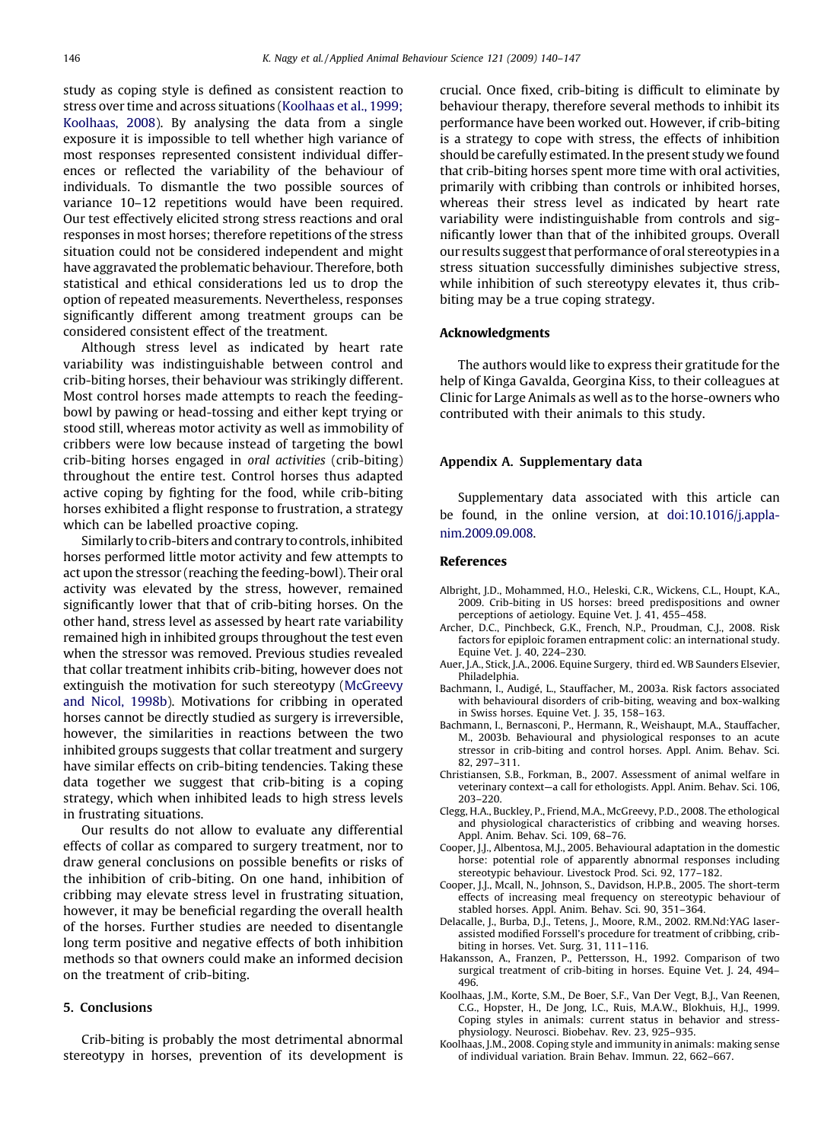<span id="page-6-0"></span>study as coping style is defined as consistent reaction to stress over time and across situations (Koolhaas et al., 1999; Koolhaas, 2008). By analysing the data from a single exposure it is impossible to tell whether high variance of most responses represented consistent individual differences or reflected the variability of the behaviour of individuals. To dismantle the two possible sources of variance 10–12 repetitions would have been required. Our test effectively elicited strong stress reactions and oral responses in most horses; therefore repetitions of the stress situation could not be considered independent and might have aggravated the problematic behaviour. Therefore, both statistical and ethical considerations led us to drop the option of repeated measurements. Nevertheless, responses significantly different among treatment groups can be considered consistent effect of the treatment.

Although stress level as indicated by heart rate variability was indistinguishable between control and crib-biting horses, their behaviour was strikingly different. Most control horses made attempts to reach the feedingbowl by pawing or head-tossing and either kept trying or stood still, whereas motor activity as well as immobility of cribbers were low because instead of targeting the bowl crib-biting horses engaged in oral activities (crib-biting) throughout the entire test. Control horses thus adapted active coping by fighting for the food, while crib-biting horses exhibited a flight response to frustration, a strategy which can be labelled proactive coping.

Similarly to crib-biters and contrary to controls, inhibited horses performed little motor activity and few attempts to act upon the stressor (reaching the feeding-bowl). Their oral activity was elevated by the stress, however, remained significantly lower that that of crib-biting horses. On the other hand, stress level as assessed by heart rate variability remained high in inhibited groups throughout the test even when the stressor was removed. Previous studies revealed that collar treatment inhibits crib-biting, however does not extinguish the motivation for such stereotypy [\(McGreevy](#page-7-0) [and Nicol, 1998b\)](#page-7-0). Motivations for cribbing in operated horses cannot be directly studied as surgery is irreversible, however, the similarities in reactions between the two inhibited groups suggests that collar treatment and surgery have similar effects on crib-biting tendencies. Taking these data together we suggest that crib-biting is a coping strategy, which when inhibited leads to high stress levels in frustrating situations.

Our results do not allow to evaluate any differential effects of collar as compared to surgery treatment, nor to draw general conclusions on possible benefits or risks of the inhibition of crib-biting. On one hand, inhibition of cribbing may elevate stress level in frustrating situation, however, it may be beneficial regarding the overall health of the horses. Further studies are needed to disentangle long term positive and negative effects of both inhibition methods so that owners could make an informed decision on the treatment of crib-biting.

## 5. Conclusions

Crib-biting is probably the most detrimental abnormal stereotypy in horses, prevention of its development is crucial. Once fixed, crib-biting is difficult to eliminate by behaviour therapy, therefore several methods to inhibit its performance have been worked out. However, if crib-biting is a strategy to cope with stress, the effects of inhibition should be carefully estimated. In the present study we found that crib-biting horses spent more time with oral activities, primarily with cribbing than controls or inhibited horses, whereas their stress level as indicated by heart rate variability were indistinguishable from controls and significantly lower than that of the inhibited groups. Overall our results suggest that performance of oral stereotypies in a stress situation successfully diminishes subjective stress, while inhibition of such stereotypy elevates it, thus cribbiting may be a true coping strategy.

## Acknowledgments

The authors would like to express their gratitude for the help of Kinga Gavalda, Georgina Kiss, to their colleagues at Clinic for Large Animals as well as to the horse-owners who contributed with their animals to this study.

### Appendix A. Supplementary data

Supplementary data associated with this article can be found, in the online version, at [doi:10.1016/j.appla](http://dx.doi.org/10.1016/j.applanim.2009.09.008)[nim.2009.09.008.](http://dx.doi.org/10.1016/j.applanim.2009.09.008)

## References

- Albright, J.D., Mohammed, H.O., Heleski, C.R., Wickens, C.L., Houpt, K.A., 2009. Crib-biting in US horses: breed predispositions and owner perceptions of aetiology. Equine Vet. J. 41, 455–458.
- Archer, D.C., Pinchbeck, G.K., French, N.P., Proudman, C.J., 2008. Risk factors for epiploic foramen entrapment colic: an international study. Equine Vet. J. 40, 224–230.
- Auer, J.A., Stick, J.A., 2006. Equine Surgery, third ed. WB Saunders Elsevier, Philadelphia.
- Bachmann, I., Audigé, L., Stauffacher, M., 2003a. Risk factors associated with behavioural disorders of crib-biting, weaving and box-walking in Swiss horses. Equine Vet. J. 35, 158–163.
- Bachmann, I., Bernasconi, P., Hermann, R., Weishaupt, M.A., Stauffacher, M., 2003b. Behavioural and physiological responses to an acute stressor in crib-biting and control horses. Appl. Anim. Behav. Sci. 82, 297–311.
- Christiansen, S.B., Forkman, B., 2007. Assessment of animal welfare in veterinary context—a call for ethologists. Appl. Anim. Behav. Sci. 106, 203–220.
- Clegg, H.A., Buckley, P., Friend, M.A., McGreevy, P.D., 2008. The ethological and physiological characteristics of cribbing and weaving horses. Appl. Anim. Behav. Sci. 109, 68–76.
- Cooper, J.J., Albentosa, M.J., 2005. Behavioural adaptation in the domestic horse: potential role of apparently abnormal responses including stereotypic behaviour. Livestock Prod. Sci. 92, 177–182.
- Cooper, J.J., Mcall, N., Johnson, S., Davidson, H.P.B., 2005. The short-term effects of increasing meal frequency on stereotypic behaviour of stabled horses. Appl. Anim. Behav. Sci. 90, 351–364.
- Delacalle, J., Burba, D.J., Tetens, J., Moore, R.M., 2002. RM.Nd:YAG laserassisted modified Forssell's procedure for treatment of cribbing, cribbiting in horses. Vet. Surg. 31, 111–116.
- Hakansson, A., Franzen, P., Pettersson, H., 1992. Comparison of two surgical treatment of crib-biting in horses. Equine Vet. J. 24, 494– 496.
- Koolhaas, J.M., Korte, S.M., De Boer, S.F., Van Der Vegt, B.J., Van Reenen, C.G., Hopster, H., De Jong, I.C., Ruis, M.A.W., Blokhuis, H.J., 1999. Coping styles in animals: current status in behavior and stressphysiology. Neurosci. Biobehav. Rev. 23, 925–935.
- Koolhaas, J.M., 2008. Coping style and immunity in animals: making sense of individual variation. Brain Behav. Immun. 22, 662–667.